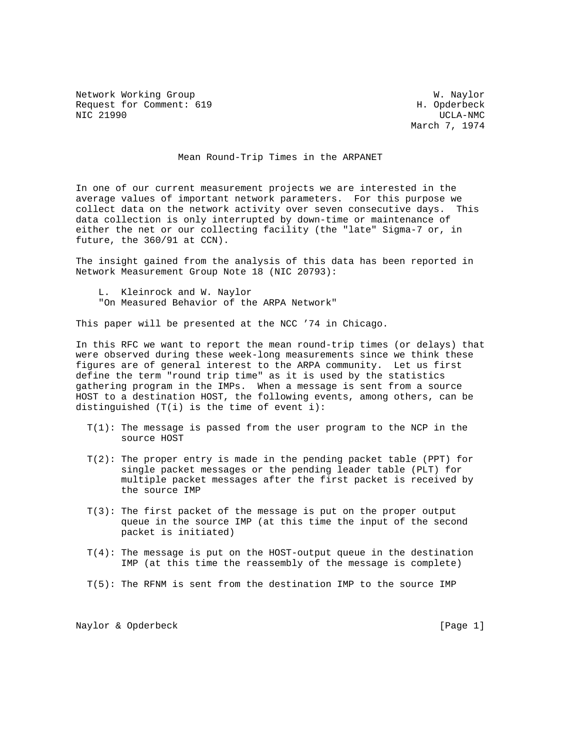Network Working Group West Communications and Months W. Naylor Request for Comment: 619 H. Opderbeck NIC 21990 UCLA-NMC

March 7, 1974

Mean Round-Trip Times in the ARPANET

In one of our current measurement projects we are interested in the average values of important network parameters. For this purpose we collect data on the network activity over seven consecutive days. This data collection is only interrupted by down-time or maintenance of either the net or our collecting facility (the "late" Sigma-7 or, in future, the 360/91 at CCN).

The insight gained from the analysis of this data has been reported in Network Measurement Group Note 18 (NIC 20793):

 L. Kleinrock and W. Naylor "On Measured Behavior of the ARPA Network"

This paper will be presented at the NCC '74 in Chicago.

In this RFC we want to report the mean round-trip times (or delays) that were observed during these week-long measurements since we think these figures are of general interest to the ARPA community. Let us first define the term "round trip time" as it is used by the statistics gathering program in the IMPs. When a message is sent from a source HOST to a destination HOST, the following events, among others, can be distinguished (T(i) is the time of event i):

- T(1): The message is passed from the user program to the NCP in the source HOST
- $T(2)$ : The proper entry is made in the pending packet table (PPT) for single packet messages or the pending leader table (PLT) for multiple packet messages after the first packet is received by the source IMP
- T(3): The first packet of the message is put on the proper output queue in the source IMP (at this time the input of the second packet is initiated)
- T(4): The message is put on the HOST-output queue in the destination IMP (at this time the reassembly of the message is complete)
- T(5): The RFNM is sent from the destination IMP to the source IMP

Naylor & Opderbeck [Page 1]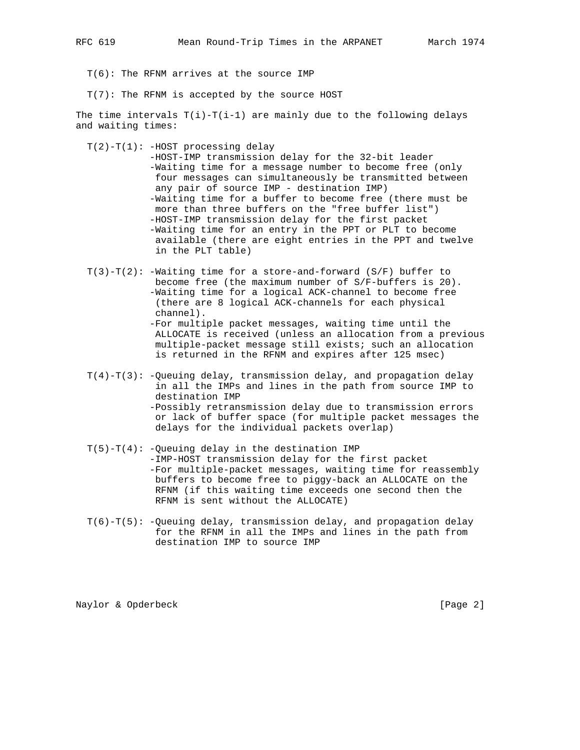T(6): The RFNM arrives at the source IMP

T(7): The RFNM is accepted by the source HOST

The time intervals  $T(i)-T(i-1)$  are mainly due to the following delays and waiting times:

 $T(2)-T(1)$ : -HOST processing delay

 -HOST-IMP transmission delay for the 32-bit leader -Waiting time for a message number to become free (only four messages can simultaneously be transmitted between any pair of source IMP - destination IMP) -Waiting time for a buffer to become free (there must be more than three buffers on the "free buffer list") -HOST-IMP transmission delay for the first packet -Waiting time for an entry in the PPT or PLT to become available (there are eight entries in the PPT and twelve in the PLT table)

 $T(3)-T(2)$ : -Waiting time for a store-and-forward (S/F) buffer to become free (the maximum number of S/F-buffers is 20). -Waiting time for a logical ACK-channel to become free (there are 8 logical ACK-channels for each physical channel).

 -For multiple packet messages, waiting time until the ALLOCATE is received (unless an allocation from a previous multiple-packet message still exists; such an allocation is returned in the RFNM and expires after 125 msec)

- $T(4)-T(3)$ : -Queuing delay, transmission delay, and propagation delay in all the IMPs and lines in the path from source IMP to destination IMP -Possibly retransmission delay due to transmission errors or lack of buffer space (for multiple packet messages the delays for the individual packets overlap)
- $T(5) T(4)$ : -Queuing delay in the destination IMP -IMP-HOST transmission delay for the first packet -For multiple-packet messages, waiting time for reassembly buffers to become free to piggy-back an ALLOCATE on the RFNM (if this waiting time exceeds one second then the RFNM is sent without the ALLOCATE)
- $T(6) T(5)$ : -Queuing delay, transmission delay, and propagation delay for the RFNM in all the IMPs and lines in the path from destination IMP to source IMP

Naylor & Opderbeck [Page 2]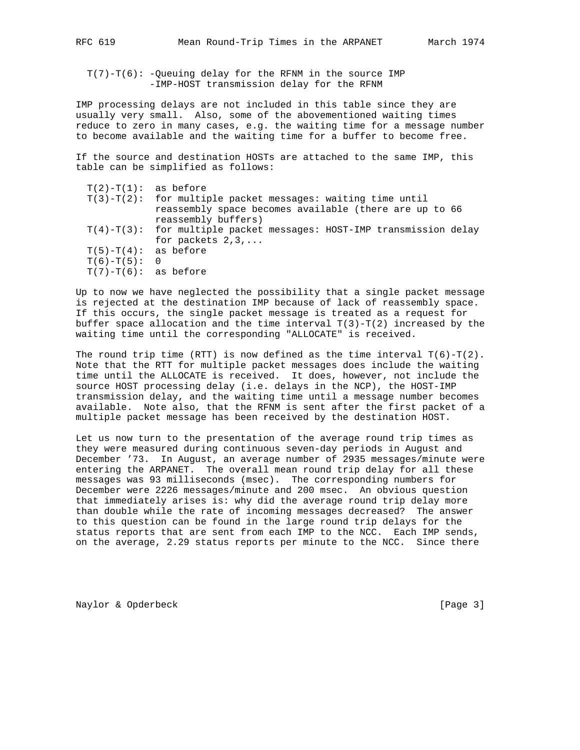T(7)-T(6): -Queuing delay for the RFNM in the source IMP -IMP-HOST transmission delay for the RFNM

IMP processing delays are not included in this table since they are usually very small. Also, some of the abovementioned waiting times reduce to zero in many cases, e.g. the waiting time for a message number to become available and the waiting time for a buffer to become free.

If the source and destination HOSTs are attached to the same IMP, this table can be simplified as follows:

| $T(2)-T(1)$ : as before   |                                                                           |
|---------------------------|---------------------------------------------------------------------------|
|                           | $T(3) - T(2)$ : for multiple packet messages: waiting time until          |
|                           | reassembly space becomes available (there are up to 66                    |
|                           | reassembly buffers)                                                       |
|                           | $T(4) - T(3)$ : for multiple packet messages: HOST-IMP transmission delay |
|                           | for packets $2,3,$                                                        |
| $T(5) - T(4)$ : as before |                                                                           |
| $T(6)-T(5): 0$            |                                                                           |
| $T(7)-T(6)$ : as before   |                                                                           |
|                           |                                                                           |

Up to now we have neglected the possibility that a single packet message is rejected at the destination IMP because of lack of reassembly space. If this occurs, the single packet message is treated as a request for buffer space allocation and the time interval  $T(3) - T(2)$  increased by the waiting time until the corresponding "ALLOCATE" is received.

The round trip time (RTT) is now defined as the time interval  $T(6)-T(2)$ . Note that the RTT for multiple packet messages does include the waiting time until the ALLOCATE is received. It does, however, not include the source HOST processing delay (i.e. delays in the NCP), the HOST-IMP transmission delay, and the waiting time until a message number becomes available. Note also, that the RFNM is sent after the first packet of a multiple packet message has been received by the destination HOST.

Let us now turn to the presentation of the average round trip times as they were measured during continuous seven-day periods in August and December '73. In August, an average number of 2935 messages/minute were entering the ARPANET. The overall mean round trip delay for all these messages was 93 milliseconds (msec). The corresponding numbers for December were 2226 messages/minute and 200 msec. An obvious question that immediately arises is: why did the average round trip delay more than double while the rate of incoming messages decreased? The answer to this question can be found in the large round trip delays for the status reports that are sent from each IMP to the NCC. Each IMP sends, on the average, 2.29 status reports per minute to the NCC. Since there

Naylor & Opderbeck [Page 3]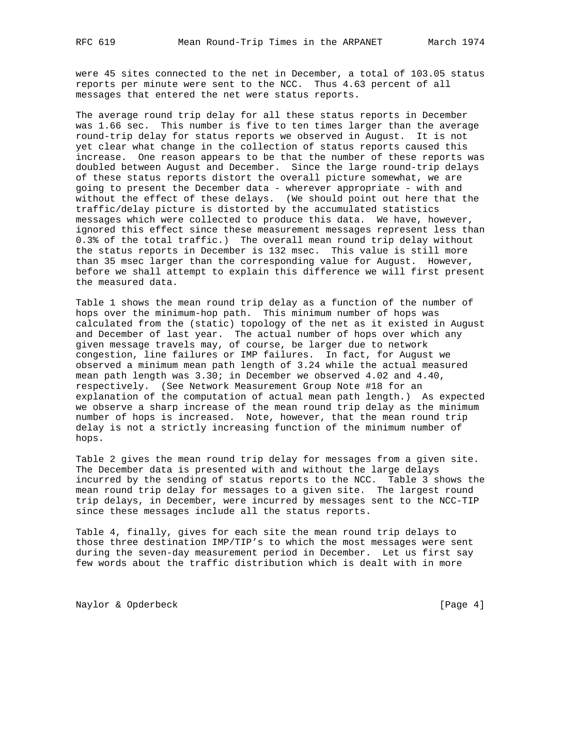were 45 sites connected to the net in December, a total of 103.05 status reports per minute were sent to the NCC. Thus 4.63 percent of all messages that entered the net were status reports.

The average round trip delay for all these status reports in December was 1.66 sec. This number is five to ten times larger than the average round-trip delay for status reports we observed in August. It is not yet clear what change in the collection of status reports caused this increase. One reason appears to be that the number of these reports was doubled between August and December. Since the large round-trip delays of these status reports distort the overall picture somewhat, we are going to present the December data - wherever appropriate - with and without the effect of these delays. (We should point out here that the traffic/delay picture is distorted by the accumulated statistics messages which were collected to produce this data. We have, however, ignored this effect since these measurement messages represent less than 0.3% of the total traffic.) The overall mean round trip delay without the status reports in December is 132 msec. This value is still more than 35 msec larger than the corresponding value for August. However, before we shall attempt to explain this difference we will first present the measured data.

Table 1 shows the mean round trip delay as a function of the number of hops over the minimum-hop path. This minimum number of hops was calculated from the (static) topology of the net as it existed in August and December of last year. The actual number of hops over which any given message travels may, of course, be larger due to network congestion, line failures or IMP failures. In fact, for August we observed a minimum mean path length of 3.24 while the actual measured mean path length was 3.30; in December we observed 4.02 and 4.40, respectively. (See Network Measurement Group Note #18 for an explanation of the computation of actual mean path length.) As expected we observe a sharp increase of the mean round trip delay as the minimum number of hops is increased. Note, however, that the mean round trip delay is not a strictly increasing function of the minimum number of hops.

Table 2 gives the mean round trip delay for messages from a given site. The December data is presented with and without the large delays incurred by the sending of status reports to the NCC. Table 3 shows the mean round trip delay for messages to a given site. The largest round trip delays, in December, were incurred by messages sent to the NCC-TIP since these messages include all the status reports.

Table 4, finally, gives for each site the mean round trip delays to those three destination IMP/TIP's to which the most messages were sent during the seven-day measurement period in December. Let us first say few words about the traffic distribution which is dealt with in more

Naylor & Opderbeck [Page 4]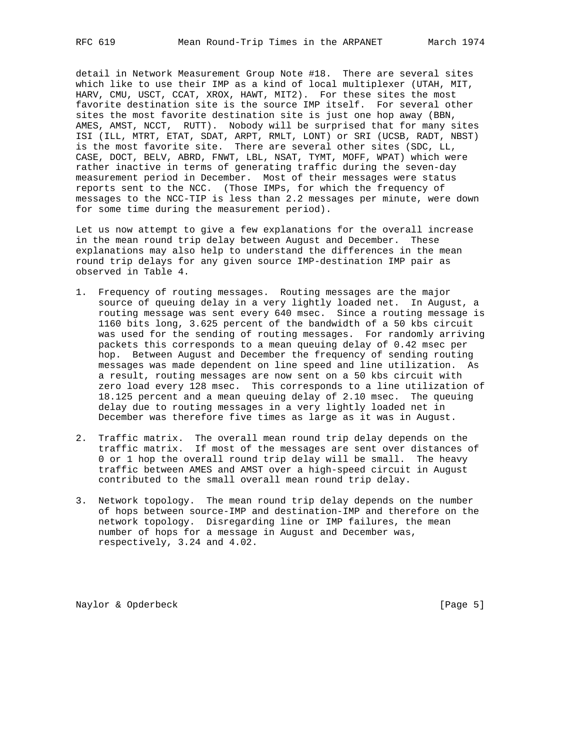detail in Network Measurement Group Note #18. There are several sites which like to use their IMP as a kind of local multiplexer (UTAH, MIT, HARV, CMU, USCT, CCAT, XROX, HAWT, MIT2). For these sites the most favorite destination site is the source IMP itself. For several other sites the most favorite destination site is just one hop away (BBN, AMES, AMST, NCCT, RUTT). Nobody will be surprised that for many sites ISI (ILL, MTRT, ETAT, SDAT, ARPT, RMLT, LONT) or SRI (UCSB, RADT, NBST) is the most favorite site. There are several other sites (SDC, LL, CASE, DOCT, BELV, ABRD, FNWT, LBL, NSAT, TYMT, MOFF, WPAT) which were rather inactive in terms of generating traffic during the seven-day measurement period in December. Most of their messages were status reports sent to the NCC. (Those IMPs, for which the frequency of messages to the NCC-TIP is less than 2.2 messages per minute, were down for some time during the measurement period).

Let us now attempt to give a few explanations for the overall increase in the mean round trip delay between August and December. These explanations may also help to understand the differences in the mean round trip delays for any given source IMP-destination IMP pair as observed in Table 4.

- 1. Frequency of routing messages. Routing messages are the major source of queuing delay in a very lightly loaded net. In August, a routing message was sent every 640 msec. Since a routing message is 1160 bits long, 3.625 percent of the bandwidth of a 50 kbs circuit was used for the sending of routing messages. For randomly arriving packets this corresponds to a mean queuing delay of 0.42 msec per hop. Between August and December the frequency of sending routing messages was made dependent on line speed and line utilization. As a result, routing messages are now sent on a 50 kbs circuit with zero load every 128 msec. This corresponds to a line utilization of 18.125 percent and a mean queuing delay of 2.10 msec. The queuing delay due to routing messages in a very lightly loaded net in December was therefore five times as large as it was in August.
- 2. Traffic matrix. The overall mean round trip delay depends on the traffic matrix. If most of the messages are sent over distances of 0 or 1 hop the overall round trip delay will be small. The heavy traffic between AMES and AMST over a high-speed circuit in August contributed to the small overall mean round trip delay.
- 3. Network topology. The mean round trip delay depends on the number of hops between source-IMP and destination-IMP and therefore on the network topology. Disregarding line or IMP failures, the mean number of hops for a message in August and December was, respectively, 3.24 and 4.02.

Naylor & Opderbeck [Page 5]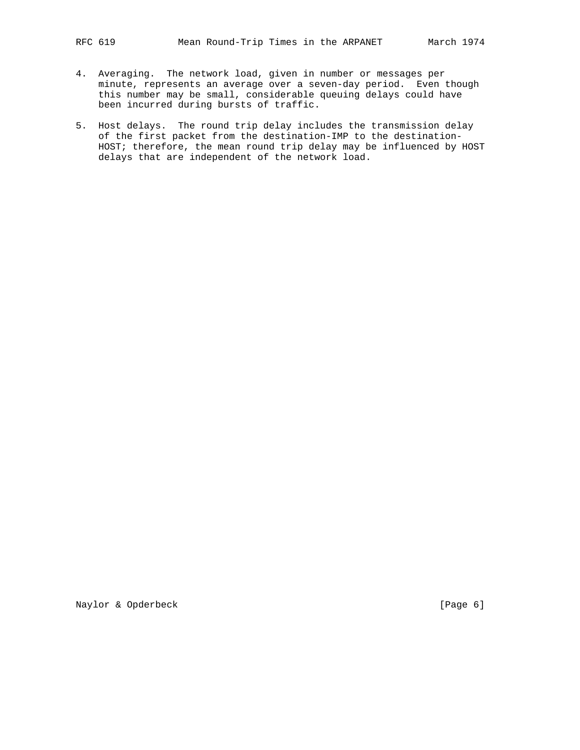- 4. Averaging. The network load, given in number or messages per minute, represents an average over a seven-day period. Even though this number may be small, considerable queuing delays could have been incurred during bursts of traffic.
- 5. Host delays. The round trip delay includes the transmission delay of the first packet from the destination-IMP to the destination- HOST; therefore, the mean round trip delay may be influenced by HOST delays that are independent of the network load.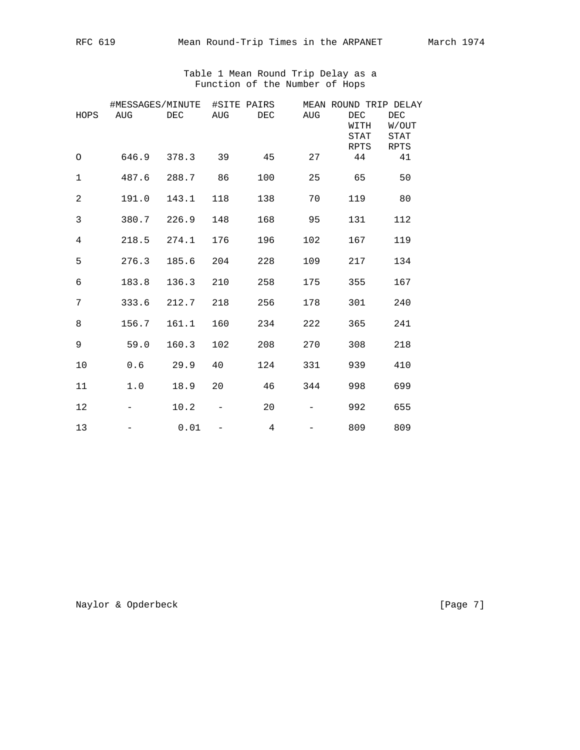## Table 1 Mean Round Trip Delay as a Function of the Number of Hops

|             | #MESSAGES/MINUTE |       |     | #SITE PAIRS |            | MEAN ROUND TRIP DELAY       |                              |
|-------------|------------------|-------|-----|-------------|------------|-----------------------------|------------------------------|
| HOPS        | AUG              | DEC   | AUG | DEC         | <b>AUG</b> | DEC<br>WITH<br>STAT<br>RPTS | DEC<br>W/OUT<br>STAT<br>RPTS |
| O           | 646.9            | 378.3 | 39  | 45          | 27         | 44                          | 41                           |
| $\mathbf 1$ | 487.6            | 288.7 | 86  | 100         | 25         | 65                          | 50                           |
| $\mathbf 2$ | 191.0            | 143.1 | 118 | 138         | 70         | 119                         | 80                           |
| 3           | 380.7            | 226.9 | 148 | 168         | 95         | 131                         | 112                          |
| 4           | 218.5            | 274.1 | 176 | 196         | 102        | 167                         | 119                          |
| 5           | 276.3            | 185.6 | 204 | 228         | 109        | 217                         | 134                          |
| 6           | 183.8            | 136.3 | 210 | 258         | 175        | 355                         | 167                          |
| 7           | 333.6            | 212.7 | 218 | 256         | 178        | 301                         | 240                          |
| 8           | 156.7            | 161.1 | 160 | 234         | 222        | 365                         | 241                          |
| 9           | 59.0             | 160.3 | 102 | 208         | 270        | 308                         | 218                          |
| 10          | 0.6              | 29.9  | 40  | 124         | 331        | 939                         | 410                          |
| 11          | 1.0              | 18.9  | 20  | 46          | 344        | 998                         | 699                          |
| 12          |                  | 10.2  |     | 20          |            | 992                         | 655                          |
| 13          |                  | 0.01  |     | 4           |            | 809                         | 809                          |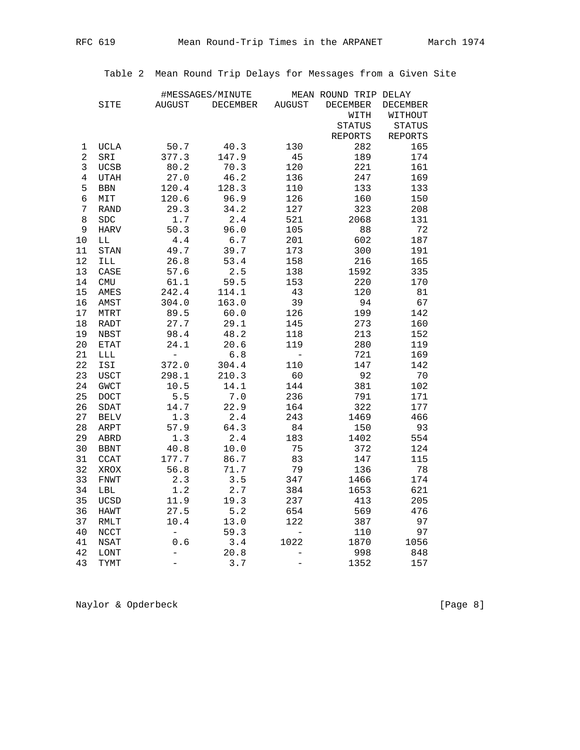Table 2 Mean Round Trip Delays for Messages from a Given Site

|                |              |                          | #MESSAGES/MINUTE |                          | MEAN ROUND TRIP DELAY |                 |
|----------------|--------------|--------------------------|------------------|--------------------------|-----------------------|-----------------|
|                | SITE         | <b>AUGUST</b>            | DECEMBER         | <b>AUGUST</b>            | <b>DECEMBER</b>       | <b>DECEMBER</b> |
|                |              |                          |                  |                          | WITH                  | WITHOUT         |
|                |              |                          |                  |                          | STATUS                | <b>STATUS</b>   |
|                |              |                          |                  |                          | REPORTS               | <b>REPORTS</b>  |
| 1              | <b>UCLA</b>  | 50.7                     | 40.3             | 130                      | 282                   | 165             |
| $\overline{a}$ | SRI          | 377.3                    | 147.9            | 45                       | 189                   | 174             |
| 3              | <b>UCSB</b>  | 80.2                     | 70.3             | 120                      | 221                   | 161             |
| $\overline{4}$ | <b>UTAH</b>  | 27.0                     | 46.2             | 136                      | 247                   | 169             |
| 5              | $_{\rm BBN}$ | 120.4                    | 128.3            | 110                      | 133                   | 133             |
| 6              | MIT          | 120.6                    | 96.9             | 126                      | 160                   | 150             |
| 7              | <b>RAND</b>  | 29.3                     | 34.2             | 127                      | 323                   | 208             |
| 8              | <b>SDC</b>   | 1.7                      | 2.4              | 521                      | 2068                  | 131             |
| 9              | <b>HARV</b>  | 50.3                     | 96.0             | 105                      | 88                    | 72              |
| 10             | LL           | $4.4\,$                  | 6.7              | 201                      | 602                   | 187             |
| 11             | <b>STAN</b>  | 49.7                     | 39.7             | 173                      | 300                   | 191             |
| 12             | ILL          | 26.8                     | 53.4             | 158                      | 216                   | 165             |
| 13             | CASE         | 57.6                     | 2.5              | 138                      | 1592                  | 335             |
| 14             | <b>CMU</b>   | 61.1                     | 59.5             | 153                      | 220                   | 170             |
| 15             | AMES         | 242.4                    | 114.1            | 43                       | 120                   | 81              |
| 16             | AMST         | 304.0                    | 163.0            | 39                       | 94                    | 67              |
| $17$           | <b>MTRT</b>  | 89.5                     | 60.0             | 126                      | 199                   | 142             |
| 18             | RADT         | 27.7                     | 29.1             | 145                      | 273                   | 160             |
| 19             | NBST         | 98.4                     | 48.2             | 118                      | 213                   | 152             |
| 20             | <b>ETAT</b>  | 24.1                     | 20.6             | 119                      | 280                   | 119             |
| 21             | LLL          | $\overline{\phantom{a}}$ | $6.8$            | $\overline{\phantom{a}}$ | 721                   | 169             |
| 22             | ISI          | 372.0                    | 304.4            | 110                      | 147                   | 142             |
| 23             | <b>USCT</b>  | 298.1                    | 210.3            | 60                       | 92                    | 70              |
| 24             | <b>GWCT</b>  | 10.5                     | 14.1             | 144                      | 381                   | 102             |
| 25             | DOCT         | 5.5                      | 7.0              | 236                      | 791                   | 171             |
| 26             | SDAT         | 14.7                     | 22.9             | 164                      | 322                   | 177             |
| 27             | <b>BELV</b>  | 1.3                      | 2.4              | 243                      | 1469                  | 466             |
| 28             | ARPT         | 57.9                     | 64.3             | 84                       | 150                   | 93              |
| 29             | ABRD         | 1.3                      | $2.4\,$          | 183                      | 1402                  | 554             |
| 30             | <b>BBNT</b>  | 40.8                     | 10.0             | 75                       | 372                   | 124             |
| 31             | <b>CCAT</b>  | 177.7                    | 86.7             | 83                       | 147                   | 115             |
| 32             | XROX         | 56.8                     | 71.7             | 79                       | 136                   | 78              |
| 33             | <b>FNWT</b>  | 2.3                      | 3.5              | 347                      | 1466                  | 174             |
| 34             | LBL          | 1.2                      | 2.7              | 384                      | 1653                  | 621             |
| 35             | <b>UCSD</b>  | 11.9                     | 19.3             | 237                      | 413                   | 205             |
| 36             | <b>HAWT</b>  | 27.5                     | 5.2              | 654                      | 569                   | 476             |
| 37             | RMLT         | 10.4                     | 13.0             | 122                      | 387                   | 97              |
| 40             | <b>NCCT</b>  | $\overline{\phantom{0}}$ | 59.3             |                          | 110                   | 97              |
| 41             | <b>NSAT</b>  | 0.6                      | 3.4              | 1022                     | 1870                  | 1056            |
| 42             | LONT         | $\overline{a}$           | 20.8             |                          | 998                   | 848             |
| 43             | <b>TYMT</b>  |                          | 3.7              |                          | 1352                  | 157             |

Naylor & Opderbeck [Page 8]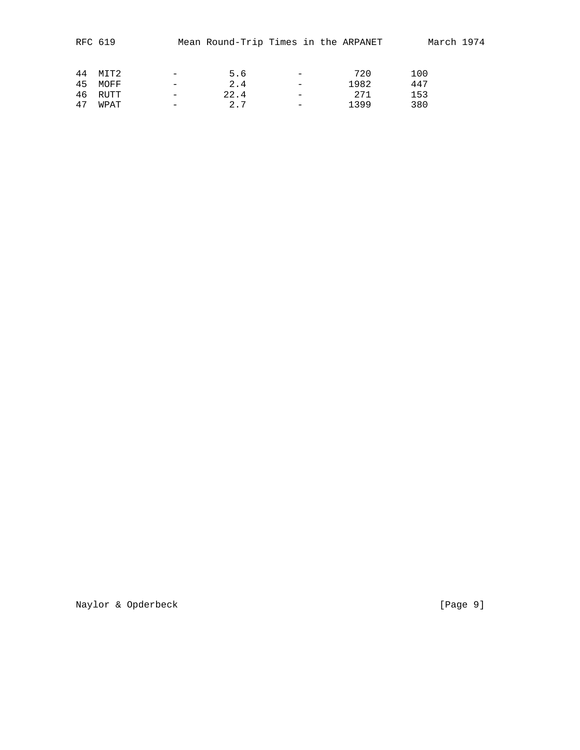|    | RFC 619 |                          |      | Mean Round-Trip Times in the ARPANET | March 1974 |  |
|----|---------|--------------------------|------|--------------------------------------|------------|--|
| 44 | MIT2    | $\overline{\phantom{0}}$ | 5.6  | 720                                  | 100        |  |
| 45 | MOFF    |                          | 2.4  | 1982                                 | 447        |  |
| 46 | RUTT    |                          | 22.4 | 2.71                                 | 153        |  |
| 47 | WPAT    | $\overline{\phantom{0}}$ | 2.7  | 1399                                 | 380        |  |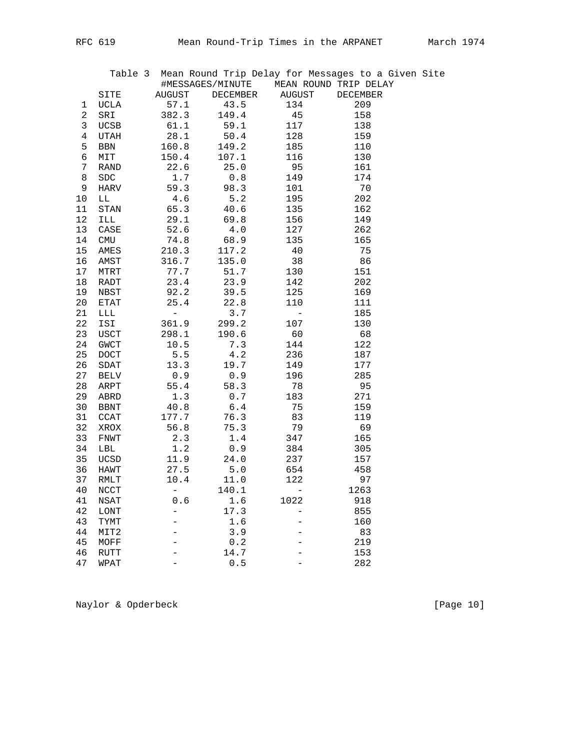|    |                            |                               | Table 3 Mean Round Trip Delay for Messages to a Given Site<br>#MESSAGES/MINUTE MEAN ROUND TRIP DELAY |            |          |  |
|----|----------------------------|-------------------------------|------------------------------------------------------------------------------------------------------|------------|----------|--|
|    | SITE                       | <b>AUGUST</b>                 | DECEMBER                                                                                             | AUGUST     | DECEMBER |  |
| 1  | UCLA                       | 57.1                          | 43.5                                                                                                 | 134        | 209      |  |
| 2  | SRI                        | 382.3                         | 149.4                                                                                                | 45         | 158      |  |
| 3  | <b>UCSB</b>                | 61.1                          | 59.1                                                                                                 | 117        | 138      |  |
| 4  | UTAH                       | 28.1                          | 50.4                                                                                                 | 128        | 159      |  |
| 5  | BBN                        | 160.8                         | 149.2                                                                                                | 185        | 110      |  |
| 6  | MIT                        | 150.4                         | 107.1                                                                                                | 116        | 130      |  |
| 7  | RAND                       | 22.6                          | 25.0                                                                                                 | 95         | 161      |  |
| 8  | ${\tt SDC}$                | 1.7                           | 0.8                                                                                                  | 149        | 174      |  |
| 9  | HARV                       | 59.3                          | 98.3                                                                                                 | 101        | 70       |  |
| 10 | LL                         | 4.6                           | 5.2                                                                                                  | 195        | 202      |  |
| 11 | STAN                       | 65.3                          | 40.6                                                                                                 | 135        | 162      |  |
| 12 | ILL                        | 29.1                          | 69.8                                                                                                 | 156        | 149      |  |
| 13 | CASE                       | 52.6                          | 4.0                                                                                                  | 127        | 262      |  |
| 14 | CMU                        | 74.8                          | 68.9                                                                                                 | 135        | 165      |  |
| 15 | AMES                       | 210.3                         | 117.2                                                                                                | 40         | 75       |  |
| 16 | AMST                       | 316.7                         | 135.0                                                                                                | 38         | 86       |  |
| 17 | MTRT                       | 77.7                          | 51.7                                                                                                 | 130        | 151      |  |
| 18 | RADT                       | 23.4                          | 23.9                                                                                                 | 142        | 202      |  |
| 19 | NBST                       | 92.2                          | 39.5                                                                                                 | 125        | 169      |  |
| 20 | ETAT                       | 25.4                          | 22.8                                                                                                 | 110        | 111      |  |
| 21 | LLL                        | $\mathcal{L} = \mathcal{L}$ . | 3.7                                                                                                  | $\sim$ $-$ | 185      |  |
| 22 | ISI                        | 361.9                         | 299.2                                                                                                | 107        | 130      |  |
| 23 | USCT                       | 298.1                         | 190.6                                                                                                | 60         | 68       |  |
| 24 | GWCT                       | 10.5                          | 7.3                                                                                                  | 144        | 122      |  |
| 25 | <b>DOCT</b>                | 5.5                           | 4.2                                                                                                  | 236        | 187      |  |
| 26 | SDAT                       | 13.3                          | 19.7                                                                                                 | 149        | 177      |  |
| 27 | BELV                       | 0.9                           | 0.9                                                                                                  | 196        | 285      |  |
| 28 | ARPT                       | 55.4                          | 58.3                                                                                                 | 78         | 95       |  |
| 29 | ABRD                       | 1.3                           | 0.7                                                                                                  | 183        | 271      |  |
| 30 | <b>BBNT</b>                | 40.8                          | 6.4                                                                                                  | 75         | 159      |  |
| 31 | CCAT                       | 177.7                         | 76.3                                                                                                 | 83         | 119      |  |
| 32 | XROX                       | 56.8                          | 75.3                                                                                                 | 79         | 69       |  |
| 33 | FNWT                       | 2.3                           | $1.4\,$                                                                                              | 347        | 165      |  |
| 34 | LBL                        | 1.2                           | 0.9                                                                                                  | 384        | 305      |  |
| 35 | UCSD                       | 11.9                          | 24.0                                                                                                 | 237        | 157      |  |
| 36 | HAWT                       | 27.5                          | 5.0                                                                                                  | 654        | 458      |  |
| 37 | RMLT                       | 10.4                          | 11.0                                                                                                 | 122        | 97       |  |
| 40 | $\ensuremath{\text{NCCT}}$ |                               | 140.1                                                                                                |            | 1263     |  |
| 41 | NSAT                       | 0.6                           | 1.6                                                                                                  | 1022       | 918      |  |
| 42 | LONT                       |                               | 17.3                                                                                                 |            | 855      |  |
| 43 | TYMT                       |                               | 1.6                                                                                                  |            | 160      |  |
| 44 | MIT2                       |                               | 3.9                                                                                                  |            | 83       |  |
| 45 | MOFF                       |                               | $0.2$                                                                                                |            | 219      |  |
| 46 | RUTT                       |                               | 14.7                                                                                                 |            | 153      |  |
| 47 | WPAT                       |                               | $0.5$                                                                                                |            | 282      |  |

Naylor & Opderbeck [Page 10]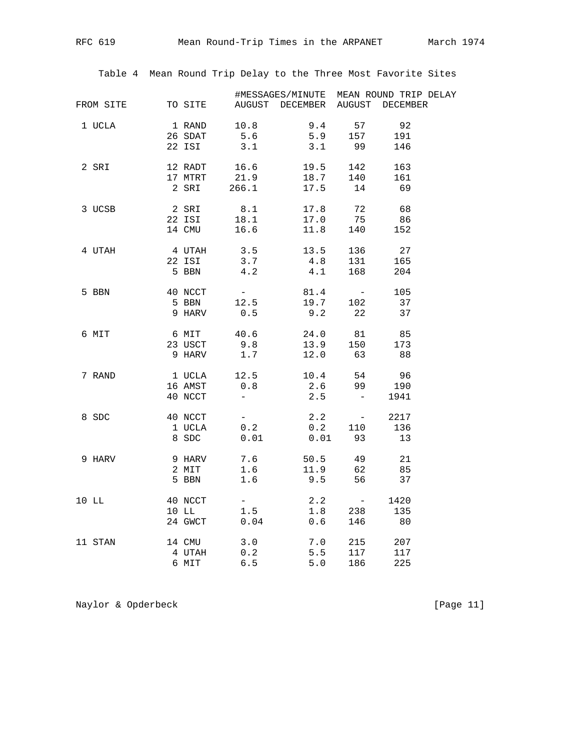Table 4 Mean Round Trip Delay to the Three Most Favorite Sites

|        |                                                                                                                                                                                                                    |     | #MESSAGES/MINUTE MEAN ROUND TRIP DELAY                                                                                         |     |            |  |
|--------|--------------------------------------------------------------------------------------------------------------------------------------------------------------------------------------------------------------------|-----|--------------------------------------------------------------------------------------------------------------------------------|-----|------------|--|
|        | FROM SITE TO SITE AUGUST DECEMBER AUGUST DECEMBER                                                                                                                                                                  |     |                                                                                                                                |     |            |  |
| 1 UCLA | 1 RAND 10.8 9.4 57 92<br>26 SDAT 5.6 5.9 157 191                                                                                                                                                                   |     |                                                                                                                                |     |            |  |
|        |                                                                                                                                                                                                                    |     |                                                                                                                                |     |            |  |
|        |                                                                                                                                                                                                                    |     | 22 ISI 3.1 3.1 99 146                                                                                                          |     |            |  |
|        | 2 SRI 12 RADT 16.6 19.5                                                                                                                                                                                            |     |                                                                                                                                |     | 142 163    |  |
|        | 17 MTRT                                                                                                                                                                                                            |     |                                                                                                                                |     | 161        |  |
|        |                                                                                                                                                                                                                    |     | 17 MTRT 21.9 18.7 140<br>2 SRI 266.1 17.5 14                                                                                   |     | 69         |  |
|        | 3 UCSB 2 SRI 8.1 17.8 72 68<br>22 ISI 18.1 17.0 75 86                                                                                                                                                              |     |                                                                                                                                |     |            |  |
|        |                                                                                                                                                                                                                    |     |                                                                                                                                |     |            |  |
|        |                                                                                                                                                                                                                    |     | 14 CMU 16.6 11.8 140 152                                                                                                       |     |            |  |
|        | $\begin{tabular}{cccccc} 4 & UTAH & & & 4 & UTAH & & 3.5 & & 13.5 & 136 \\ & & 22 & IST & & 3.7 & & 4.8 & 131 \\ & & 5 & BBN & & 4.2 & & 4.1 & 168 \end{tabular}$                                                  |     |                                                                                                                                |     | 136 27     |  |
|        |                                                                                                                                                                                                                    |     |                                                                                                                                |     | 165<br>204 |  |
|        |                                                                                                                                                                                                                    |     |                                                                                                                                |     |            |  |
|        | 5 BBN 40 NCCT                                                                                                                                                                                                      |     | $\begin{array}{cccccc} 40 & \text{NCCT} & & - & & 81.4 & & - & 105 \\ 5 & \text{BBN} & & 12.5 & & 19.7 & 102 & 37 \end{array}$ |     |            |  |
|        |                                                                                                                                                                                                                    |     |                                                                                                                                |     |            |  |
|        | 9 HARV 0.5 9.2 22 37                                                                                                                                                                                               |     |                                                                                                                                |     |            |  |
|        | 6 MIT 6 MIT 40.6 24.0 81 85                                                                                                                                                                                        |     |                                                                                                                                |     |            |  |
|        | 23 USCT 9.8 13.9 150 173<br>9 HARV 1.7 12.0 63 88                                                                                                                                                                  |     |                                                                                                                                |     |            |  |
|        |                                                                                                                                                                                                                    |     |                                                                                                                                |     |            |  |
|        | 7 RAND 1 UCLA 12.5 10.4 54 96<br>16 AMST 0.8 2.6 99 190                                                                                                                                                            |     |                                                                                                                                |     |            |  |
|        |                                                                                                                                                                                                                    |     |                                                                                                                                |     |            |  |
|        |                                                                                                                                                                                                                    |     | 40 NCCT $-$ 2.5 $-$                                                                                                            |     | 1941       |  |
|        | $\begin{array}{ccccccccc} 8 \text{ SDC} & & & 40 \text{ NCCT} & & - & & 2.2 & & - & 2217 \\ & & 1 \text{ UCLA} & & 0.2 & & 0.2 & & 110 & & 136 \\ & & & 8 \text{ SDC} & & 0.01 & & 0.01 & & 93 & & 13 \end{array}$ |     |                                                                                                                                |     |            |  |
|        |                                                                                                                                                                                                                    |     |                                                                                                                                |     |            |  |
|        |                                                                                                                                                                                                                    |     |                                                                                                                                |     |            |  |
|        | 9 HARV 9 HARV 7.6 50.5 49 21<br>2 MIT 1.6 11.9 62 85                                                                                                                                                               |     |                                                                                                                                |     |            |  |
|        |                                                                                                                                                                                                                    |     |                                                                                                                                |     |            |  |
|        | 5 BBN 1.6 9.5 56 37                                                                                                                                                                                                |     |                                                                                                                                |     |            |  |
|        | 10 LL $\begin{array}{cccccc} 40 & \text{NCCT} & - & 2.2 & - \\ 10 & \text{LL} & 1.5 & 1.8 & 238 \\ 24 & \text{GWCT} & 0.04 & 0.6 & 146 \end{array}$                                                                |     |                                                                                                                                |     | 1420       |  |
|        |                                                                                                                                                                                                                    |     |                                                                                                                                |     | 135        |  |
|        |                                                                                                                                                                                                                    |     |                                                                                                                                |     | 80         |  |
|        | 11 STAN 14 CMU 3.0<br>14 CMU 3.0 7.0 215 207<br>4 UTAH 0.2 5.5 117 117                                                                                                                                             |     |                                                                                                                                |     |            |  |
|        |                                                                                                                                                                                                                    |     |                                                                                                                                |     |            |  |
|        | 6 MIT                                                                                                                                                                                                              | 6.5 | 5.0                                                                                                                            | 186 | 225        |  |

Naylor & Opderbeck [Page 11]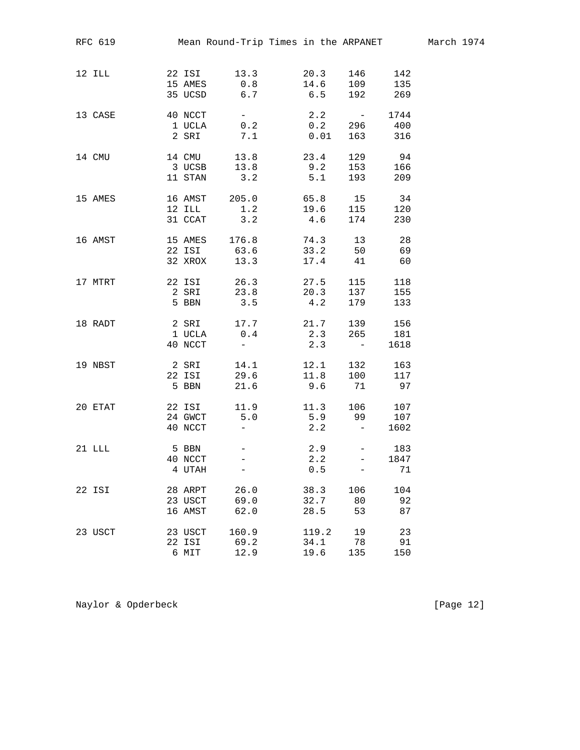| RFC 619  |         | Mean Round-Trip Times in the ARPANET |                                            |                                                         |      |
|----------|---------|--------------------------------------|--------------------------------------------|---------------------------------------------------------|------|
|          |         |                                      |                                            |                                                         |      |
| 12 ILL   |         | 22 ISI 13.3 20.3 146                 |                                            |                                                         | 142  |
|          |         | 15 AMES 0.8 14.6 109                 |                                            |                                                         | 135  |
|          |         | 35 UCSD 6.7                          | 6.5                                        | 192 269                                                 |      |
| 13 CASE  |         | 40 NCCT -                            |                                            | $2.2 - 1744$                                            |      |
|          |         | 1 UCLA 0.2 0.2 296 400               |                                            |                                                         |      |
|          |         | 2 SRI 7.1 0.01 163 316               |                                            |                                                         |      |
| 14 CMU   |         | 14 CMU 13.8                          | $\begin{array}{c} 23.4 \\ 9.2 \end{array}$ | 129                                                     | 94   |
|          | 3 UCSB  | 13.8                                 | 9.2                                        | 153                                                     | 166  |
|          | 11 STAN | 3.2                                  | 5.1                                        | 193                                                     | 209  |
| 15 AMES  |         | 16 AMST 205.0 65.8 15                |                                            |                                                         | 34   |
|          |         | 12 ILL 1.2 19.6 115                  |                                            |                                                         | 120  |
|          |         | 31 CCAT<br>3.2                       | 4.6                                        | 174                                                     | 230  |
| 16 AMST  |         | 15 AMES 176.8 74.3 13                |                                            |                                                         | 28   |
|          |         | 22 ISI 63.6 33.2 50 69               |                                            |                                                         |      |
|          |         | 32 XROX 13.3 17.4 41 60              |                                            |                                                         |      |
| 17 MTRT  |         | 22 ISI 26.3<br>2 SRI 23.8            | 27.5<br>20.3                               | 115                                                     | 118  |
|          |         |                                      |                                            | 137                                                     | 155  |
|          | 5 BBN   | 3.5                                  | 4.2                                        | 179                                                     | 133  |
| 18 RADT  |         | 2 SRI 17.7 21.7 139                  |                                            |                                                         | 156  |
|          |         | 1 UCLA 0.4 2.3 265 181               |                                            |                                                         |      |
|          | 40 NCCT | $\frac{1}{2}$ and $\frac{1}{2}$      | 2.3                                        | $\alpha_{\rm{max}}=0.000$                               | 1618 |
| 19 NBST  |         | 2 SRI 14.1 12.1 132                  |                                            |                                                         | 163  |
|          |         | 22 ISI 29.6 11.8 100                 |                                            |                                                         | 117  |
|          |         | 5 BBN                                |                                            | 21.6 9.6 71 97                                          |      |
| 20 ETAT  | 22 ISI  | 11.9                                 | 11.3                                       | $\begin{array}{cc} 106 && 107 \\ 99 && 107 \end{array}$ |      |
|          | 24 GWCT | 5.0                                  | 5.9                                        | 99                                                      |      |
|          | 40 NCCT | $\sim$                               | 2.2                                        | $\mathcal{L}^{\mathcal{L}}(\mathcal{L}^{\mathcal{L}})$  | 1602 |
| $21$ LLL | 5 BBN   | $ \,$                                |                                            | $2.9 - 183$                                             |      |
|          | 40 NCCT |                                      | 2.2                                        | $\sigma_{\rm{max}}$                                     | 1847 |
|          | 4 UTAH  |                                      | $0.5$                                      |                                                         | 71   |
| 22 ISI   | 28 ARPT | 26.0                                 | 38.3                                       | 106                                                     | 104  |
|          | 23 USCT | 69.0                                 | 32.7                                       | 80                                                      | 92   |
|          | 16 AMST | 62.0                                 | 28.5                                       | 53                                                      | 87   |
| 23 USCT  | 23 USCT | 160.9                                | 119.2                                      | 19                                                      | 23   |
|          | 22 ISI  | 69.2                                 | 34.1                                       | 78                                                      | 91   |
|          | 6 MIT   | 12.9                                 | 19.6                                       | 135                                                     | 150  |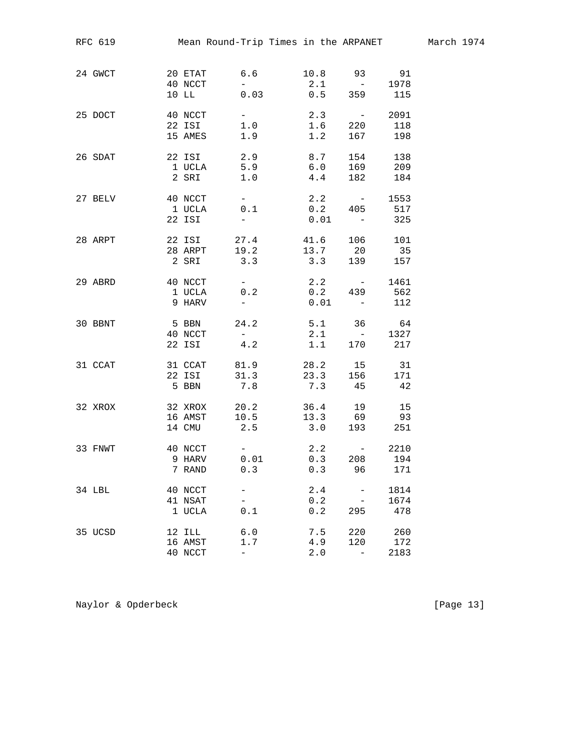| RFC 619                          |                              |                                   |                                                  |     |                   |                     | Mean Round-Trip Times in the ARPANET                                                |                     |  |
|----------------------------------|------------------------------|-----------------------------------|--------------------------------------------------|-----|-------------------|---------------------|-------------------------------------------------------------------------------------|---------------------|--|
| 24 GWCT<br>20 ETAT 6.6           | 10 LL                        | 40 NCCT                           | $\frac{1}{2} \left( \frac{1}{2} \right)$<br>0.03 |     |                   |                     | 10.8 93 91<br>2.1 - 1978<br>0.5 359 115                                             |                     |  |
| $40$ NCCT $-$<br>25 DOCT         |                              | 15 AMES                           |                                                  | 1.9 |                   | 1.2                 | $2.3 - 2091$<br>22 ISI 1.0 1.6 220 118<br>167 198                                   |                     |  |
| 26 SDAT                          | 2 SRI                        | 22 ISI 2.9<br>1 UCLA 5.9<br>1.0   |                                                  |     |                   | 8.7<br>$6.0$<br>4.4 | 154<br>169<br>182                                                                   | 138<br>209<br>184   |  |
| 27 BELV 40 NCCT -                |                              | 1 UCLA 0.1<br>22 ISI              | $\frac{1}{2}$                                    |     |                   | 0.01                | $2.2 -$<br>$0.2$ 405<br>$\mathcal{L}^{\mathcal{L}}$ and $\mathcal{L}^{\mathcal{L}}$ | 1553<br>517<br>325  |  |
| 28 ARPT 22 ISI 27.4 41.6 106 101 |                              |                                   |                                                  |     |                   |                     | 28 ARPT 19.2 13.7 20 35<br>2 SRI 3.3 3.3 139 157                                    |                     |  |
| 29 ABRD                          | 40 NCCT<br>1 UCLA<br>9 HARV  |                                   | 0.2<br>$\frac{1}{2}$ and $\frac{1}{2}$           |     |                   | 2.2                 | $\mathcal{L}_{\text{max}} = 0.0000$<br>0.2 439 562<br>$0.01 - 112$                  | 1461                |  |
| 30 BBNT                          | 40 NCCT<br>22 ISI            | 5 BBN                             | 24.2<br>$\alpha \rightarrow \beta \gamma$<br>4.2 |     |                   | 2.1<br>1.1          | 5.1 36 64<br>$\alpha_{\rm eff} = 0.01$<br>170 217                                   | 1327                |  |
| 31 CCAT 31 CCAT 81.9 28.2 15 31  |                              | 5 BBN 7.8                         |                                                  |     |                   |                     | 22 ISI 31.3 23.3 156 171<br>7.3 45 42                                               |                     |  |
| 32 XROX                          | 16 AMST<br>14 CMU            | 32 XROX 20.2                      | 10.5<br>2.5                                      |     |                   |                     | 36.4 19<br>$13.3$ 69 93<br>$3.0$ 193 251                                            | 15                  |  |
| 33 FNWT<br>40 NCCT               | 9 HARV<br>7 RAND             | $\mathcal{L}_{\text{max}} = 1000$ | 0.01<br>0.3                                      |     | 0.3               | 0.3                 | $2.2 - 2210$<br>208<br>96                                                           | 194<br>171          |  |
| 34 LBL                           | 40 NCCT<br>41 NSAT<br>1 UCLA |                                   | $\overline{\phantom{0}}$<br>0.1                  |     | 2.4<br>0.2<br>0.2 |                     | $\qquad \qquad -$<br>295                                                            | 1814<br>1674<br>478 |  |
| 35 UCSD                          | 12 ILL<br>16 AMST<br>40 NCCT | $\overline{\phantom{0}}$          | 6.0<br>1.7                                       |     | 7.5<br>4.9<br>2.0 |                     | 220<br>120<br>$\overline{\phantom{m}}$                                              | 260<br>172<br>2183  |  |

Naylor & Opderbeck [Page 13]